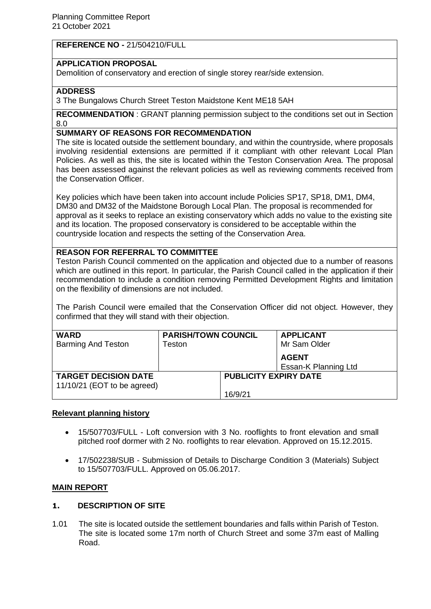**REFERENCE NO -** 21/504210/FULL

# **APPLICATION PROPOSAL**

Demolition of conservatory and erection of single storey rear/side extension.

# **ADDRESS**

3 The Bungalows Church Street Teston Maidstone Kent ME18 5AH

**RECOMMENDATION** : GRANT planning permission subject to the conditions set out in Section 8.0

# **SUMMARY OF REASONS FOR RECOMMENDATION**

The site is located outside the settlement boundary, and within the countryside, where proposals involving residential extensions are permitted if it compliant with other relevant Local Plan Policies. As well as this, the site is located within the Teston Conservation Area. The proposal has been assessed against the relevant policies as well as reviewing comments received from the Conservation Officer.

Key policies which have been taken into account include Policies SP17, SP18, DM1, DM4, DM30 and DM32 of the Maidstone Borough Local Plan. The proposal is recommended for approval as it seeks to replace an existing conservatory which adds no value to the existing site and its location. The proposed conservatory is considered to be acceptable within the countryside location and respects the setting of the Conservation Area.

# **REASON FOR REFERRAL TO COMMITTEE**

Teston Parish Council commented on the application and objected due to a number of reasons which are outlined in this report. In particular, the Parish Council called in the application if their recommendation to include a condition removing Permitted Development Rights and limitation on the flexibility of dimensions are not included.

The Parish Council were emailed that the Conservation Officer did not object. However, they confirmed that they will stand with their objection.

| <b>WARD</b><br><b>Barming And Teston</b> | <b>PARISH/TOWN COUNCIL</b><br>⊺eston |                              | <b>APPLICANT</b><br>Mr Sam Older     |
|------------------------------------------|--------------------------------------|------------------------------|--------------------------------------|
|                                          |                                      |                              | <b>AGENT</b><br>Essan-K Planning Ltd |
| <b>TARGET DECISION DATE</b>              |                                      | <b>PUBLICITY EXPIRY DATE</b> |                                      |
| 11/10/21 (EOT to be agreed)              |                                      |                              |                                      |
|                                          |                                      | 16/9/21                      |                                      |

#### **Relevant planning history**

- 15/507703/FULL Loft conversion with 3 No. rooflights to front elevation and small pitched roof dormer with 2 No. rooflights to rear elevation. Approved on 15.12.2015.
- 17/502238/SUB Submission of Details to Discharge Condition 3 (Materials) Subject to 15/507703/FULL. Approved on 05.06.2017.

#### **MAIN REPORT**

#### **1. DESCRIPTION OF SITE**

1.01 The site is located outside the settlement boundaries and falls within Parish of Teston. The site is located some 17m north of Church Street and some 37m east of Malling Road.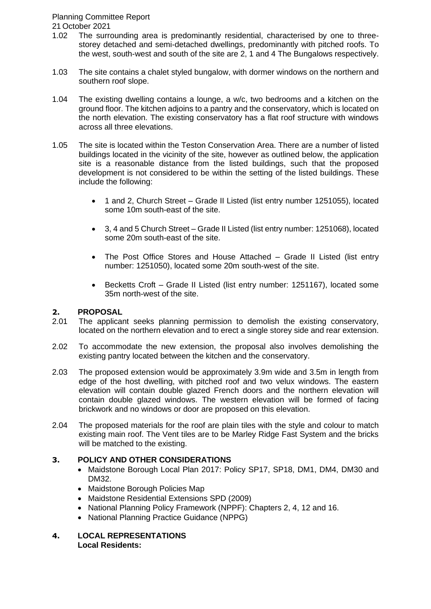# Planning Committee Report

21 October 2021

- 1.02 The surrounding area is predominantly residential, characterised by one to threestorey detached and semi-detached dwellings, predominantly with pitched roofs. To the west, south-west and south of the site are 2, 1 and 4 The Bungalows respectively.
- 1.03 The site contains a chalet styled bungalow, with dormer windows on the northern and southern roof slope.
- 1.04 The existing dwelling contains a lounge, a w/c, two bedrooms and a kitchen on the ground floor. The kitchen adjoins to a pantry and the conservatory, which is located on the north elevation. The existing conservatory has a flat roof structure with windows across all three elevations.
- 1.05 The site is located within the Teston Conservation Area. There are a number of listed buildings located in the vicinity of the site, however as outlined below, the application site is a reasonable distance from the listed buildings, such that the proposed development is not considered to be within the setting of the listed buildings. These include the following:
	- 1 and 2, Church Street Grade II Listed (list entry number 1251055), located some 10m south-east of the site.
	- 3, 4 and 5 Church Street Grade II Listed (list entry number: 1251068), located some 20m south-east of the site.
	- The Post Office Stores and House Attached Grade II Listed (list entry number: 1251050), located some 20m south-west of the site.
	- Becketts Croft Grade II Listed (list entry number: 1251167), located some 35m north-west of the site.

# **2. PROPOSAL**

- 2.01 The applicant seeks planning permission to demolish the existing conservatory, located on the northern elevation and to erect a single storey side and rear extension.
- 2.02 To accommodate the new extension, the proposal also involves demolishing the existing pantry located between the kitchen and the conservatory.
- 2.03 The proposed extension would be approximately 3.9m wide and 3.5m in length from edge of the host dwelling, with pitched roof and two velux windows. The eastern elevation will contain double glazed French doors and the northern elevation will contain double glazed windows. The western elevation will be formed of facing brickwork and no windows or door are proposed on this elevation.
- 2.04 The proposed materials for the roof are plain tiles with the style and colour to match existing main roof. The Vent tiles are to be Marley Ridge Fast System and the bricks will be matched to the existing.

# **3. POLICY AND OTHER CONSIDERATIONS**

- Maidstone Borough Local Plan 2017: Policy SP17, SP18, DM1, DM4, DM30 and DM32.
- Maidstone Borough Policies Map
- Maidstone Residential Extensions SPD (2009)
- National Planning Policy Framework (NPPF): Chapters 2, 4, 12 and 16.
- National Planning Practice Guidance (NPPG)
- **4. LOCAL REPRESENTATIONS Local Residents:**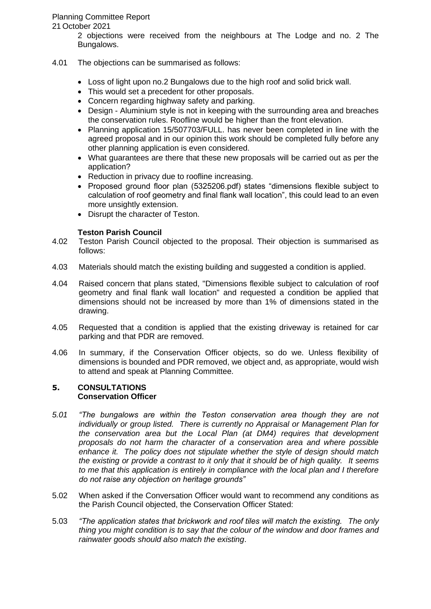# Planning Committee Report

21 October 2021

2 objections were received from the neighbours at The Lodge and no. 2 The Bungalows.

# 4.01 The objections can be summarised as follows:

- Loss of light upon no.2 Bungalows due to the high roof and solid brick wall.
- This would set a precedent for other proposals.
- Concern regarding highway safety and parking.
- Design Aluminium style is not in keeping with the surrounding area and breaches the conservation rules. Roofline would be higher than the front elevation.
- Planning application 15/507703/FULL. has never been completed in line with the agreed proposal and in our opinion this work should be completed fully before any other planning application is even considered.
- What guarantees are there that these new proposals will be carried out as per the application?
- Reduction in privacy due to roofline increasing.
- Proposed ground floor plan (5325206.pdf) states "dimensions flexible subject to calculation of roof geometry and final flank wall location", this could lead to an even more unsightly extension.
- Disrupt the character of Teston.

# **Teston Parish Council**

- 4.02 Teston Parish Council objected to the proposal. Their objection is summarised as follows:
- 4.03 Materials should match the existing building and suggested a condition is applied.
- 4.04 Raised concern that plans stated, "Dimensions flexible subject to calculation of roof geometry and final flank wall location" and requested a condition be applied that dimensions should not be increased by more than 1% of dimensions stated in the drawing.
- 4.05 Requested that a condition is applied that the existing driveway is retained for car parking and that PDR are removed.
- 4.06 In summary, if the Conservation Officer objects, so do we. Unless flexibility of dimensions is bounded and PDR removed, we object and, as appropriate, would wish to attend and speak at Planning Committee.

#### **5. CONSULTATIONS Conservation Officer**

- *5.01 "The bungalows are within the Teston conservation area though they are not individually or group listed. There is currently no Appraisal or Management Plan for the conservation area but the Local Plan (at DM4) requires that development proposals do not harm the character of a conservation area and where possible enhance it. The policy does not stipulate whether the style of design should match the existing or provide a contrast to it only that it should be of high quality. It seems to me that this application is entirely in compliance with the local plan and I therefore do not raise any objection on heritage grounds"*
- 5.02 When asked if the Conversation Officer would want to recommend any conditions as the Parish Council objected, the Conservation Officer Stated:
- 5.03 *"The application states that brickwork and roof tiles will match the existing. The only thing you might condition is to say that the colour of the window and door frames and rainwater goods should also match the existing*.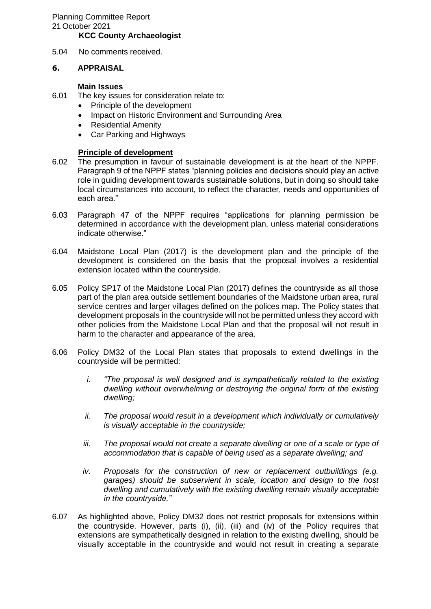#### **KCC County Archaeologist**

5.04 No comments received.

#### **6. APPRAISAL**

#### **Main Issues**

- 6.01 The key issues for consideration relate to:
	- Principle of the development
	- Impact on Historic Environment and Surrounding Area
	- Residential Amenity
	- Car Parking and Highways

#### **Principle of development**

- 6.02 The presumption in favour of sustainable development is at the heart of the NPPF. Paragraph 9 of the NPPF states "planning policies and decisions should play an active role in guiding development towards sustainable solutions, but in doing so should take local circumstances into account, to reflect the character, needs and opportunities of each area."
- 6.03 Paragraph 47 of the NPPF requires "applications for planning permission be determined in accordance with the development plan, unless material considerations indicate otherwise."
- 6.04 Maidstone Local Plan (2017) is the development plan and the principle of the development is considered on the basis that the proposal involves a residential extension located within the countryside.
- 6.05 Policy SP17 of the Maidstone Local Plan (2017) defines the countryside as all those part of the plan area outside settlement boundaries of the Maidstone urban area, rural service centres and larger villages defined on the polices map. The Policy states that development proposals in the countryside will not be permitted unless they accord with other policies from the Maidstone Local Plan and that the proposal will not result in harm to the character and appearance of the area.
- 6.06 Policy DM32 of the Local Plan states that proposals to extend dwellings in the countryside will be permitted:
	- *i. "The proposal is well designed and is sympathetically related to the existing dwelling without overwhelming or destroying the original form of the existing dwelling;*
	- *ii. The proposal would result in a development which individually or cumulatively is visually acceptable in the countryside;*
	- *iii. The proposal would not create a separate dwelling or one of a scale or type of accommodation that is capable of being used as a separate dwelling; and*
	- *iv. Proposals for the construction of new or replacement outbuildings (e.g. garages) should be subservient in scale, location and design to the host dwelling and cumulatively with the existing dwelling remain visually acceptable in the countryside."*
- 6.07 As highlighted above, Policy DM32 does not restrict proposals for extensions within the countryside. However, parts (i), (ii), (iii) and (iv) of the Policy requires that extensions are sympathetically designed in relation to the existing dwelling, should be visually acceptable in the countryside and would not result in creating a separate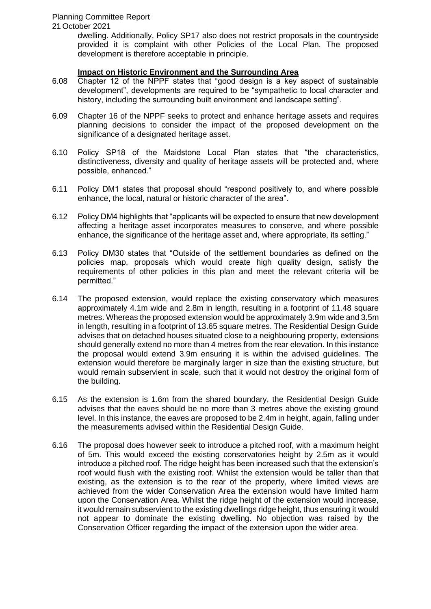21 October 2021

dwelling. Additionally, Policy SP17 also does not restrict proposals in the countryside provided it is complaint with other Policies of the Local Plan. The proposed development is therefore acceptable in principle.

# **Impact on Historic Environment and the Surrounding Area**

- 6.08 Chapter 12 of the NPPF states that "good design is a key aspect of sustainable development", developments are required to be "sympathetic to local character and history, including the surrounding built environment and landscape setting".
- 6.09 Chapter 16 of the NPPF seeks to protect and enhance heritage assets and requires planning decisions to consider the impact of the proposed development on the significance of a designated heritage asset.
- 6.10 Policy SP18 of the Maidstone Local Plan states that "the characteristics, distinctiveness, diversity and quality of heritage assets will be protected and, where possible, enhanced."
- 6.11 Policy DM1 states that proposal should "respond positively to, and where possible enhance, the local, natural or historic character of the area".
- 6.12 Policy DM4 highlights that "applicants will be expected to ensure that new development affecting a heritage asset incorporates measures to conserve, and where possible enhance, the significance of the heritage asset and, where appropriate, its setting."
- 6.13 Policy DM30 states that "Outside of the settlement boundaries as defined on the policies map, proposals which would create high quality design, satisfy the requirements of other policies in this plan and meet the relevant criteria will be permitted."
- 6.14 The proposed extension, would replace the existing conservatory which measures approximately 4.1m wide and 2.8m in length, resulting in a footprint of 11.48 square metres. Whereas the proposed extension would be approximately 3.9m wide and 3.5m in length, resulting in a footprint of 13.65 square metres. The Residential Design Guide advises that on detached houses situated close to a neighbouring property, extensions should generally extend no more than 4 metres from the rear elevation. In this instance the proposal would extend 3.9m ensuring it is within the advised guidelines. The extension would therefore be marginally larger in size than the existing structure, but would remain subservient in scale, such that it would not destroy the original form of the building.
- 6.15 As the extension is 1.6m from the shared boundary, the Residential Design Guide advises that the eaves should be no more than 3 metres above the existing ground level. In this instance, the eaves are proposed to be 2.4m in height, again, falling under the measurements advised within the Residential Design Guide.
- 6.16 The proposal does however seek to introduce a pitched roof, with a maximum height of 5m. This would exceed the existing conservatories height by 2.5m as it would introduce a pitched roof. The ridge height has been increased such that the extension's roof would flush with the existing roof. Whilst the extension would be taller than that existing, as the extension is to the rear of the property, where limited views are achieved from the wider Conservation Area the extension would have limited harm upon the Conservation Area. Whilst the ridge height of the extension would increase, it would remain subservient to the existing dwellings ridge height, thus ensuring it would not appear to dominate the existing dwelling. No objection was raised by the Conservation Officer regarding the impact of the extension upon the wider area.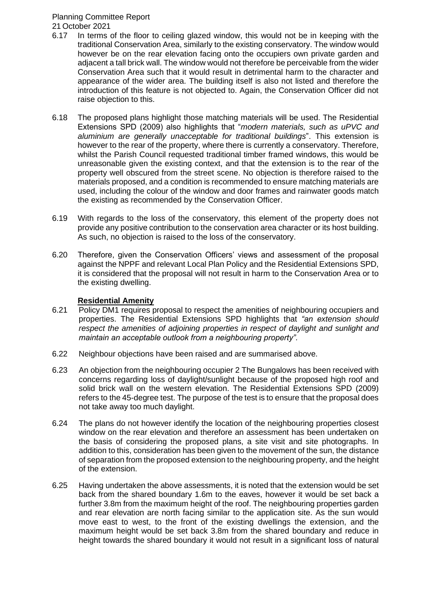#### Planning Committee Report 21 October 2021

6.17 In terms of the floor to ceiling glazed window, this would not be in keeping with the traditional Conservation Area, similarly to the existing conservatory. The window would however be on the rear elevation facing onto the occupiers own private garden and adjacent a tall brick wall. The window would not therefore be perceivable from the wider Conservation Area such that it would result in detrimental harm to the character and appearance of the wider area. The building itself is also not listed and therefore the introduction of this feature is not objected to. Again, the Conservation Officer did not raise objection to this.

- 6.18 The proposed plans highlight those matching materials will be used. The Residential Extensions SPD (2009) also highlights that "*modern materials, such as uPVC and aluminium are generally unacceptable for traditional buildings*". This extension is however to the rear of the property, where there is currently a conservatory. Therefore, whilst the Parish Council requested traditional timber framed windows, this would be unreasonable given the existing context, and that the extension is to the rear of the property well obscured from the street scene. No objection is therefore raised to the materials proposed, and a condition is recommended to ensure matching materials are used, including the colour of the window and door frames and rainwater goods match the existing as recommended by the Conservation Officer.
- 6.19 With regards to the loss of the conservatory, this element of the property does not provide any positive contribution to the conservation area character or its host building. As such, no objection is raised to the loss of the conservatory.
- 6.20 Therefore, given the Conservation Officers' views and assessment of the proposal against the NPPF and relevant Local Plan Policy and the Residential Extensions SPD, it is considered that the proposal will not result in harm to the Conservation Area or to the existing dwelling.

# **Residential Amenity**

- 6.21 Policy DM1 requires proposal to respect the amenities of neighbouring occupiers and properties. The Residential Extensions SPD highlights that *"an extension should respect the amenities of adjoining properties in respect of daylight and sunlight and maintain an acceptable outlook from a neighbouring property".*
- 6.22 Neighbour objections have been raised and are summarised above.
- 6.23 An objection from the neighbouring occupier 2 The Bungalows has been received with concerns regarding loss of daylight/sunlight because of the proposed high roof and solid brick wall on the western elevation. The Residential Extensions SPD (2009) refers to the 45-degree test. The purpose of the test is to ensure that the proposal does not take away too much daylight.
- 6.24 The plans do not however identify the location of the neighbouring properties closest window on the rear elevation and therefore an assessment has been undertaken on the basis of considering the proposed plans, a site visit and site photographs. In addition to this, consideration has been given to the movement of the sun, the distance of separation from the proposed extension to the neighbouring property, and the height of the extension.
- 6.25 Having undertaken the above assessments, it is noted that the extension would be set back from the shared boundary 1.6m to the eaves, however it would be set back a further 3.8m from the maximum height of the roof. The neighbouring properties garden and rear elevation are north facing similar to the application site. As the sun would move east to west, to the front of the existing dwellings the extension, and the maximum height would be set back 3.8m from the shared boundary and reduce in height towards the shared boundary it would not result in a significant loss of natural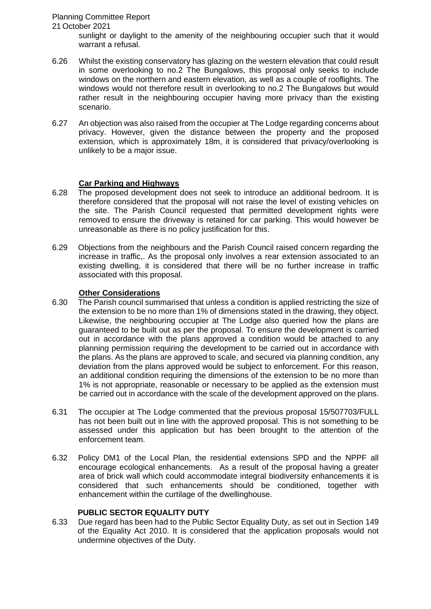# Planning Committee Report

#### 21 October 2021

sunlight or daylight to the amenity of the neighbouring occupier such that it would warrant a refusal.

- 6.26 Whilst the existing conservatory has glazing on the western elevation that could result in some overlooking to no.2 The Bungalows, this proposal only seeks to include windows on the northern and eastern elevation, as well as a couple of rooflights. The windows would not therefore result in overlooking to no.2 The Bungalows but would rather result in the neighbouring occupier having more privacy than the existing scenario.
- 6.27 An objection was also raised from the occupier at The Lodge regarding concerns about privacy. However, given the distance between the property and the proposed extension, which is approximately 18m, it is considered that privacy/overlooking is unlikely to be a major issue.

#### **Car Parking and Highways**

- 6.28 The proposed development does not seek to introduce an additional bedroom. It is therefore considered that the proposal will not raise the level of existing vehicles on the site. The Parish Council requested that permitted development rights were removed to ensure the driveway is retained for car parking. This would however be unreasonable as there is no policy justification for this.
- 6.29 Objections from the neighbours and the Parish Council raised concern regarding the increase in traffic,. As the proposal only involves a rear extension associated to an existing dwelling, it is considered that there will be no further increase in traffic associated with this proposal.

#### **Other Considerations**

- 6.30 The Parish council summarised that unless a condition is applied restricting the size of the extension to be no more than 1% of dimensions stated in the drawing, they object. Likewise, the neighbouring occupier at The Lodge also queried how the plans are guaranteed to be built out as per the proposal. To ensure the development is carried out in accordance with the plans approved a condition would be attached to any planning permission requiring the development to be carried out in accordance with the plans. As the plans are approved to scale, and secured via planning condition, any deviation from the plans approved would be subject to enforcement. For this reason, an additional condition requiring the dimensions of the extension to be no more than 1% is not appropriate, reasonable or necessary to be applied as the extension must be carried out in accordance with the scale of the development approved on the plans.
- 6.31 The occupier at The Lodge commented that the previous proposal 15/507703/FULL has not been built out in line with the approved proposal. This is not something to be assessed under this application but has been brought to the attention of the enforcement team.
- 6.32 Policy DM1 of the Local Plan, the residential extensions SPD and the NPPF all encourage ecological enhancements. As a result of the proposal having a greater area of brick wall which could accommodate integral biodiversity enhancements it is considered that such enhancements should be conditioned, together with enhancement within the curtilage of the dwellinghouse.

#### **PUBLIC SECTOR EQUALITY DUTY**

6.33 Due regard has been had to the Public Sector Equality Duty, as set out in Section 149 of the Equality Act 2010. It is considered that the application proposals would not undermine objectives of the Duty.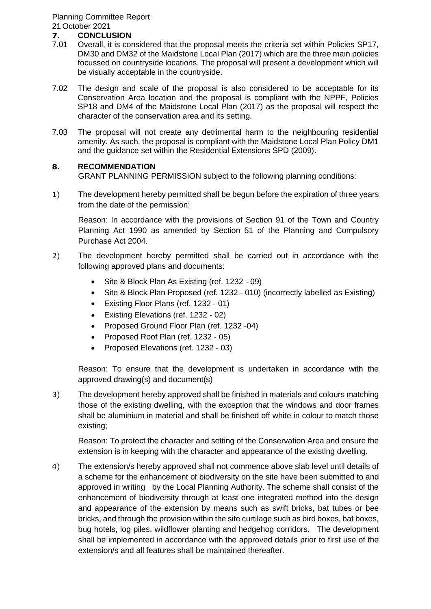Planning Committee Report 21 October 2021

# **7. CONCLUSION**

- Overall, it is considered that the proposal meets the criteria set within Policies SP17. DM30 and DM32 of the Maidstone Local Plan (2017) which are the three main policies focussed on countryside locations. The proposal will present a development which will be visually acceptable in the countryside.
- 7.02 The design and scale of the proposal is also considered to be acceptable for its Conservation Area location and the proposal is compliant with the NPPF, Policies SP18 and DM4 of the Maidstone Local Plan (2017) as the proposal will respect the character of the conservation area and its setting.
- 7.03 The proposal will not create any detrimental harm to the neighbouring residential amenity. As such, the proposal is compliant with the Maidstone Local Plan Policy DM1 and the guidance set within the Residential Extensions SPD (2009).

#### **8. RECOMMENDATION**

GRANT PLANNING PERMISSION subject to the following planning conditions:

1) The development hereby permitted shall be begun before the expiration of three years from the date of the permission;

Reason: In accordance with the provisions of Section 91 of the Town and Country Planning Act 1990 as amended by Section 51 of the Planning and Compulsory Purchase Act 2004.

- 2) The development hereby permitted shall be carried out in accordance with the following approved plans and documents:
	- Site & Block Plan As Existing (ref. 1232 09)
	- Site & Block Plan Proposed (ref. 1232 010) (incorrectly labelled as Existing)
	- Existing Floor Plans (ref. 1232 01)
	- Existing Elevations (ref. 1232 02)
	- Proposed Ground Floor Plan (ref. 1232 -04)
	- Proposed Roof Plan (ref. 1232 05)
	- Proposed Elevations (ref. 1232 03)

Reason: To ensure that the development is undertaken in accordance with the approved drawing(s) and document(s)

3) The development hereby approved shall be finished in materials and colours matching those of the existing dwelling, with the exception that the windows and door frames shall be aluminium in material and shall be finished off white in colour to match those existing;

Reason: To protect the character and setting of the Conservation Area and ensure the extension is in keeping with the character and appearance of the existing dwelling.

4) The extension/s hereby approved shall not commence above slab level until details of a scheme for the enhancement of biodiversity on the site have been submitted to and approved in writing by the Local Planning Authority. The scheme shall consist of the enhancement of biodiversity through at least one integrated method into the design and appearance of the extension by means such as swift bricks, bat tubes or bee bricks, and through the provision within the site curtilage such as bird boxes, bat boxes, bug hotels, log piles, wildflower planting and hedgehog corridors. The development shall be implemented in accordance with the approved details prior to first use of the extension/s and all features shall be maintained thereafter.